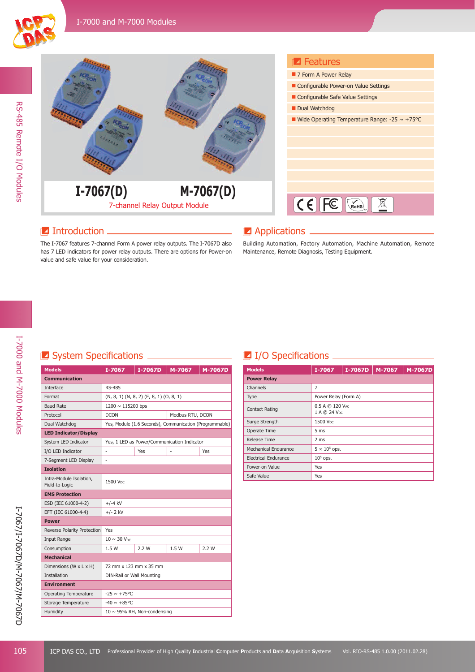



## **Introduction**

The I-7067 features 7-channel Form A power relay outputs. The I-7067D also has 7 LED indicators for power relay outputs. There are options for Power-on value and safe value for your consideration.

### **Applications**

Building Automation, Factory Automation, Machine Automation, Remote Maintenance, Remote Diagnosis, Testing Equipment.

## **E** System Specifications **CONSERVING CONSERVANCE**

| <b>Models</b>                             | I-7067                                                  | I-7067D                                     | M-7067 | M-7067D |  |
|-------------------------------------------|---------------------------------------------------------|---------------------------------------------|--------|---------|--|
| <b>Communication</b>                      |                                                         |                                             |        |         |  |
| Interface                                 | <b>RS-485</b>                                           |                                             |        |         |  |
| Format                                    | $(N, 8, 1)$ $(N, 8, 2)$ $(E, 8, 1)$ $(O, 8, 1)$         |                                             |        |         |  |
| <b>Baud Rate</b>                          | 1200 ~ 115200 bps                                       |                                             |        |         |  |
| Protocol                                  | <b>DCON</b><br>Modbus RTU, DCON                         |                                             |        |         |  |
| Dual Watchdog                             | Yes, Module (1.6 Seconds), Communication (Programmable) |                                             |        |         |  |
| <b>LED Indicator/Display</b>              |                                                         |                                             |        |         |  |
| System LED Indicator                      |                                                         | Yes, 1 LED as Power/Communication Indicator |        |         |  |
| I/O LED Indicator                         | ä,                                                      | Yes                                         | L,     | Yes     |  |
| 7-Segment LED Display                     | ä,                                                      |                                             |        |         |  |
| <b>Isolation</b>                          |                                                         |                                             |        |         |  |
| Intra-Module Isolation,<br>Field-to-Logic | 1500 Voc                                                |                                             |        |         |  |
| <b>EMS Protection</b>                     |                                                         |                                             |        |         |  |
| ESD (IEC 61000-4-2)                       | $+/-4$ kV                                               |                                             |        |         |  |
| EFT (IEC 61000-4-4)                       | $+/- 2$ kV                                              |                                             |        |         |  |
| <b>Power</b>                              |                                                         |                                             |        |         |  |
| Reverse Polarity Protection               | Yes                                                     |                                             |        |         |  |
| Input Range                               | $10 \sim 30$ V <sub>DC</sub>                            |                                             |        |         |  |
| Consumption                               | 1.5W                                                    | 2.2 W                                       | 1.5W   | 2.2 W   |  |
| <b>Mechanical</b>                         |                                                         |                                             |        |         |  |
| Dimensions (W x L x H)                    | 72 mm x 123 mm x 35 mm                                  |                                             |        |         |  |
| <b>Installation</b>                       | DIN-Rail or Wall Mounting                               |                                             |        |         |  |
| <b>Environment</b>                        |                                                         |                                             |        |         |  |
| <b>Operating Temperature</b>              | $-25 \sim +75^{\circ}$ C                                |                                             |        |         |  |
| Storage Temperature                       | $-40 \sim +85^{\circ}$ C                                |                                             |        |         |  |
| Humidity                                  | $10 \sim 95\%$ RH, Non-condensing                       |                                             |        |         |  |

## **I** I/O Specifications **I**

| <b>Models</b>               | I-7067                          | $I-7067D$ | M-7067 | M-7067D |
|-----------------------------|---------------------------------|-----------|--------|---------|
| <b>Power Relay</b>          |                                 |           |        |         |
| Channels                    | 7                               |           |        |         |
| Type                        | Power Relay (Form A)            |           |        |         |
| <b>Contact Rating</b>       | 0.5 A @ 120 VAC<br>1 A @ 24 Vpc |           |        |         |
| Surge Strength              | 1500 V <sub>DC</sub>            |           |        |         |
| Operate Time                | 5 ms                            |           |        |         |
| Release Time                | 2 ms                            |           |        |         |
| Mechanical Endurance        | $5 \times 10^6$ ops.            |           |        |         |
| <b>Electrical Endurance</b> | $105$ ops.                      |           |        |         |
| Power-on Value              | Yes                             |           |        |         |
| Safe Value                  | Yes                             |           |        |         |

RS-485 Remote I/O Modules

RS-485 Remote I/O Modules